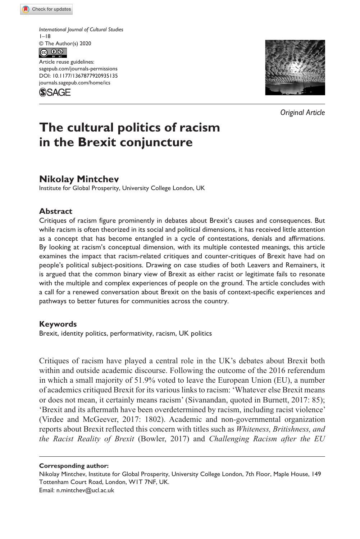*International Journal of Cultural Studies*   $1 - 18$ © The Author(s) 2020 ര ⊙ൈ

https://doi.org/10.1177/1367877920935135 DOI: 10.1177/1367877920935135 Article reuse guidelines: [sagepub.com/journals-permissions](https://uk.sagepub.com/en-gb/journals-permissions) [journals.sagepub.com/home/ics](https://journals.sagepub.com/home/ics)

**SSAGE** 



*Original Article*

# **The cultural politics of racism in the Brexit conjuncture**

### **Nikolay Mintchev**

Institute for Global Prosperity, University College London, UK

### **Abstract**

Critiques of racism figure prominently in debates about Brexit's causes and consequences. But while racism is often theorized in its social and political dimensions, it has received little attention as a concept that has become entangled in a cycle of contestations, denials and affirmations. By looking at racism's conceptual dimension, with its multiple contested meanings, this article examines the impact that racism-related critiques and counter-critiques of Brexit have had on people's political subject-positions. Drawing on case studies of both Leavers and Remainers, it is argued that the common binary view of Brexit as either racist or legitimate fails to resonate with the multiple and complex experiences of people on the ground. The article concludes with a call for a renewed conversation about Brexit on the basis of context-specific experiences and pathways to better futures for communities across the country.

#### **Keywords**

Brexit, identity politics, performativity, racism, UK politics

Critiques of racism have played a central role in the UK's debates about Brexit both within and outside academic discourse. Following the outcome of the 2016 referendum in which a small majority of 51.9% voted to leave the European Union (EU), a number of academics critiqued Brexit for its various links to racism: 'Whatever else Brexit means or does not mean, it certainly means racism' (Sivanandan, quoted in Burnett, 2017: 85); 'Brexit and its aftermath have been overdetermined by racism, including racist violence' (Virdee and McGeever, 2017: 1802). Academic and non-governmental organization reports about Brexit reflected this concern with titles such as *Whiteness, Britishness, and the Racist Reality of Brexit* (Bowler, 2017) and *Challenging Racism after the EU* 

#### **Corresponding author:**

Nikolay Mintchev, Institute for Global Prosperity, University College London, 7th Floor, Maple House, 149 Tottenham Court Road, London, W1T 7NF, UK. Email: [n.mintchev@ucl.ac.uk](mailto:n.mintchev@ucl.ac.uk)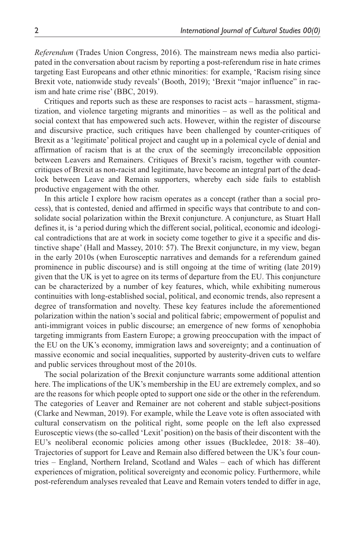*Referendum* (Trades Union Congress, 2016). The mainstream news media also participated in the conversation about racism by reporting a post-referendum rise in hate crimes targeting East Europeans and other ethnic minorities: for example, 'Racism rising since Brexit vote, nationwide study reveals' (Booth, 2019); 'Brexit "major influence" in racism and hate crime rise' (BBC, 2019).

Critiques and reports such as these are responses to racist acts – harassment, stigmatization, and violence targeting migrants and minorities – as well as the political and social context that has empowered such acts. However, within the register of discourse and discursive practice, such critiques have been challenged by counter-critiques of Brexit as a 'legitimate' political project and caught up in a polemical cycle of denial and affirmation of racism that is at the crux of the seemingly irreconcilable opposition between Leavers and Remainers. Critiques of Brexit's racism, together with countercritiques of Brexit as non-racist and legitimate, have become an integral part of the deadlock between Leave and Remain supporters, whereby each side fails to establish productive engagement with the other.

In this article I explore how racism operates as a concept (rather than a social process), that is contested, denied and affirmed in specific ways that contribute to and consolidate social polarization within the Brexit conjuncture. A conjuncture, as Stuart Hall defines it, is 'a period during which the different social, political, economic and ideological contradictions that are at work in society come together to give it a specific and distinctive shape' (Hall and Massey, 2010: 57). The Brexit conjuncture, in my view, began in the early 2010s (when Eurosceptic narratives and demands for a referendum gained prominence in public discourse) and is still ongoing at the time of writing (late 2019) given that the UK is yet to agree on its terms of departure from the EU. This conjuncture can be characterized by a number of key features, which, while exhibiting numerous continuities with long-established social, political, and economic trends, also represent a degree of transformation and novelty. These key features include the aforementioned polarization within the nation's social and political fabric; empowerment of populist and anti-immigrant voices in public discourse; an emergence of new forms of xenophobia targeting immigrants from Eastern Europe; a growing preoccupation with the impact of the EU on the UK's economy, immigration laws and sovereignty; and a continuation of massive economic and social inequalities, supported by austerity-driven cuts to welfare and public services throughout most of the 2010s.

The social polarization of the Brexit conjuncture warrants some additional attention here. The implications of the UK's membership in the EU are extremely complex, and so are the reasons for which people opted to support one side or the other in the referendum. The categories of Leaver and Remainer are not coherent and stable subject-positions (Clarke and Newman, 2019). For example, while the Leave vote is often associated with cultural conservatism on the political right, some people on the left also expressed Eurosceptic views (the so-called 'Lexit' position) on the basis of their discontent with the EU's neoliberal economic policies among other issues (Buckledee, 2018: 38–40). Trajectories of support for Leave and Remain also differed between the UK's four countries – England, Northern Ireland, Scotland and Wales – each of which has different experiences of migration, political sovereignty and economic policy. Furthermore, while post-referendum analyses revealed that Leave and Remain voters tended to differ in age,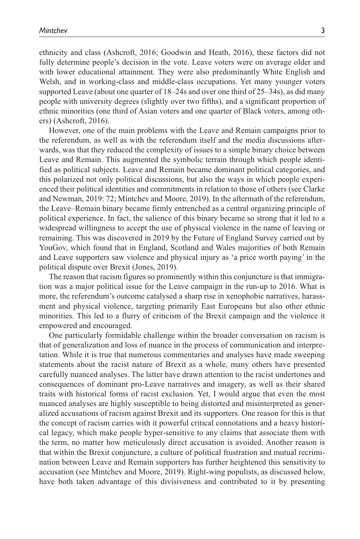ethnicity and class (Ashcroft, 2016; Goodwin and Heath, 2016), these factors did not fully determine people's decision in the vote. Leave voters were on average older and with lower educational attainment. They were also predominantly White English and Welsh, and in working-class and middle-class occupations. Yet many younger voters supported Leave (about one quarter of 18–24s and over one third of 25–34s), as did many people with university degrees (slightly over two fifths), and a significant proportion of ethnic minorities (one third of Asian voters and one quarter of Black voters, among others) (Ashcroft, 2016).

However, one of the main problems with the Leave and Remain campaigns prior to the referendum, as well as with the referendum itself and the media discussions afterwards, was that they reduced the complexity of issues to a simple binary choice between Leave and Remain. This augmented the symbolic terrain through which people identified as political subjects. Leave and Remain became dominant political categories, and this polarized not only political discussions, but also the ways in which people experienced their political identities and commitments in relation to those of others (see Clarke and Newman, 2019: 72; Mintchev and Moore, 2019). In the aftermath of the referendum, the Leave–Remain binary became firmly entrenched as a central organizing principle of political experience. In fact, the salience of this binary became so strong that it led to a widespread willingness to accept the use of physical violence in the name of leaving or remaining. This was discovered in 2019 by the Future of England Survey carried out by YouGov, which found that in England, Scotland and Wales majorities of both Remain and Leave supporters saw violence and physical injury as 'a price worth paying' in the political dispute over Brexit (Jones, 2019).

The reason that racism figures so prominently within this conjuncture is that immigration was a major political issue for the Leave campaign in the run-up to 2016. What is more, the referendum's outcome catalysed a sharp rise in xenophobic narratives, harassment and physical violence, targeting primarily East Europeans but also other ethnic minorities. This led to a flurry of criticism of the Brexit campaign and the violence it empowered and encouraged.

One particularly formidable challenge within the broader conversation on racism is that of generalization and loss of nuance in the process of communication and interpretation. While it is true that numerous commentaries and analyses have made sweeping statements about the racist nature of Brexit as a whole, many others have presented carefully nuanced analyses. The latter have drawn attention to the racist undertones and consequences of dominant pro-Leave narratives and imagery, as well as their shared traits with historical forms of racist exclusion. Yet, I would argue that even the most nuanced analyses are highly susceptible to being distorted and misinterpreted as generalized accusations of racism against Brexit and its supporters. One reason for this is that the concept of racism carries with it powerful critical connotations and a heavy historical legacy, which make people hyper-sensitive to any claims that associate them with the term, no matter how meticulously direct accusation is avoided. Another reason is that within the Brexit conjuncture, a culture of political frustration and mutual recrimination between Leave and Remain supporters has further heightened this sensitivity to accusation (see Mintchev and Moore, 2019). Right-wing populists, as discussed below, have both taken advantage of this divisiveness and contributed to it by presenting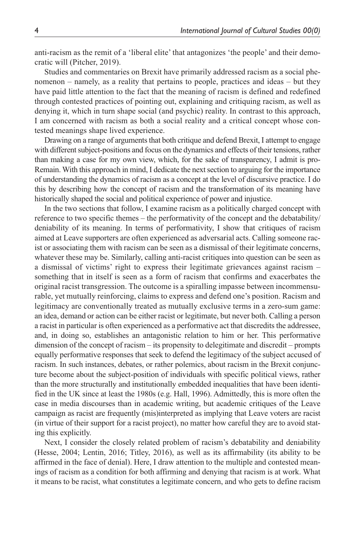anti-racism as the remit of a 'liberal elite' that antagonizes 'the people' and their democratic will (Pitcher, 2019).

Studies and commentaries on Brexit have primarily addressed racism as a social phenomenon – namely, as a reality that pertains to people, practices and ideas – but they have paid little attention to the fact that the meaning of racism is defined and redefined through contested practices of pointing out, explaining and critiquing racism, as well as denying it, which in turn shape social (and psychic) reality. In contrast to this approach, I am concerned with racism as both a social reality and a critical concept whose contested meanings shape lived experience.

Drawing on a range of arguments that both critique and defend Brexit, I attempt to engage with different subject-positions and focus on the dynamics and effects of their tensions, rather than making a case for my own view, which, for the sake of transparency, I admit is pro-Remain. With this approach in mind, I dedicate the next section to arguing for the importance of understanding the dynamics of racism as a concept at the level of discursive practice. I do this by describing how the concept of racism and the transformation of its meaning have historically shaped the social and political experience of power and injustice.

In the two sections that follow, I examine racism as a politically charged concept with reference to two specific themes – the performativity of the concept and the debatability/ deniability of its meaning. In terms of performativity, I show that critiques of racism aimed at Leave supporters are often experienced as adversarial acts. Calling someone racist or associating them with racism can be seen as a dismissal of their legitimate concerns, whatever these may be. Similarly, calling anti-racist critiques into question can be seen as a dismissal of victims' right to express their legitimate grievances against racism – something that in itself is seen as a form of racism that confirms and exacerbates the original racist transgression. The outcome is a spiralling impasse between incommensurable, yet mutually reinforcing, claims to express and defend one's position. Racism and legitimacy are conventionally treated as mutually exclusive terms in a zero-sum game: an idea, demand or action can be either racist or legitimate, but never both. Calling a person a racist in particular is often experienced as a performative act that discredits the addressee, and, in doing so, establishes an antagonistic relation to him or her. This performative dimension of the concept of racism – its propensity to delegitimate and discredit – prompts equally performative responses that seek to defend the legitimacy of the subject accused of racism. In such instances, debates, or rather polemics, about racism in the Brexit conjuncture become about the subject-position of individuals with specific political views, rather than the more structurally and institutionally embedded inequalities that have been identified in the UK since at least the 1980s (e.g. Hall, 1996). Admittedly, this is more often the case in media discourses than in academic writing, but academic critiques of the Leave campaign as racist are frequently (mis)interpreted as implying that Leave voters are racist (in virtue of their support for a racist project), no matter how careful they are to avoid stating this explicitly.

Next, I consider the closely related problem of racism's debatability and deniability (Hesse, 2004; Lentin, 2016; Titley, 2016), as well as its affirmability (its ability to be affirmed in the face of denial). Here, I draw attention to the multiple and contested meanings of racism as a condition for both affirming and denying that racism is at work. What it means to be racist, what constitutes a legitimate concern, and who gets to define racism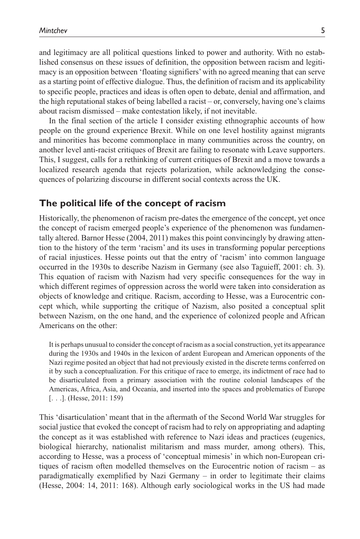and legitimacy are all political questions linked to power and authority. With no established consensus on these issues of definition, the opposition between racism and legitimacy is an opposition between 'floating signifiers' with no agreed meaning that can serve as a starting point of effective dialogue. Thus, the definition of racism and its applicability to specific people, practices and ideas is often open to debate, denial and affirmation, and the high reputational stakes of being labelled a racist – or, conversely, having one's claims about racism dismissed – make contestation likely, if not inevitable.

In the final section of the article I consider existing ethnographic accounts of how people on the ground experience Brexit. While on one level hostility against migrants and minorities has become commonplace in many communities across the country, on another level anti-racist critiques of Brexit are failing to resonate with Leave supporters. This, I suggest, calls for a rethinking of current critiques of Brexit and a move towards a localized research agenda that rejects polarization, while acknowledging the consequences of polarizing discourse in different social contexts across the UK.

### **The political life of the concept of racism**

Historically, the phenomenon of racism pre-dates the emergence of the concept, yet once the concept of racism emerged people's experience of the phenomenon was fundamentally altered. Barnor Hesse (2004, 2011) makes this point convincingly by drawing attention to the history of the term 'racism' and its uses in transforming popular perceptions of racial injustices. Hesse points out that the entry of 'racism' into common language occurred in the 1930s to describe Nazism in Germany (see also Taguieff, 2001: ch. 3). This equation of racism with Nazism had very specific consequences for the way in which different regimes of oppression across the world were taken into consideration as objects of knowledge and critique. Racism, according to Hesse, was a Eurocentric concept which, while supporting the critique of Nazism, also posited a conceptual split between Nazism, on the one hand, and the experience of colonized people and African Americans on the other:

It is perhaps unusual to consider the concept of racism as a social construction, yet its appearance during the 1930s and 1940s in the lexicon of ardent European and American opponents of the Nazi regime posited an object that had not previously existed in the discrete terms conferred on it by such a conceptualization. For this critique of race to emerge, its indictment of race had to be disarticulated from a primary association with the routine colonial landscapes of the Americas, Africa, Asia, and Oceania, and inserted into the spaces and problematics of Europe [. . .]. (Hesse, 2011: 159)

This 'disarticulation' meant that in the aftermath of the Second World War struggles for social justice that evoked the concept of racism had to rely on appropriating and adapting the concept as it was established with reference to Nazi ideas and practices (eugenics, biological hierarchy, nationalist militarism and mass murder, among others). This, according to Hesse, was a process of 'conceptual mimesis' in which non-European critiques of racism often modelled themselves on the Eurocentric notion of racism – as paradigmatically exemplified by Nazi Germany – in order to legitimate their claims (Hesse, 2004: 14, 2011: 168). Although early sociological works in the US had made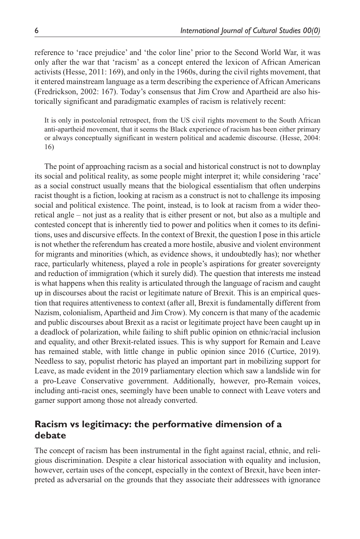reference to 'race prejudice' and 'the color line' prior to the Second World War, it was only after the war that 'racism' as a concept entered the lexicon of African American activists (Hesse, 2011: 169), and only in the 1960s, during the civil rights movement, that it entered mainstream language as a term describing the experience of African Americans (Fredrickson, 2002: 167). Today's consensus that Jim Crow and Apartheid are also historically significant and paradigmatic examples of racism is relatively recent:

It is only in postcolonial retrospect, from the US civil rights movement to the South African anti-apartheid movement, that it seems the Black experience of racism has been either primary or always conceptually significant in western political and academic discourse. (Hesse, 2004: 16)

The point of approaching racism as a social and historical construct is not to downplay its social and political reality, as some people might interpret it; while considering 'race' as a social construct usually means that the biological essentialism that often underpins racist thought is a fiction, looking at racism as a construct is not to challenge its imposing social and political existence. The point, instead, is to look at racism from a wider theoretical angle – not just as a reality that is either present or not, but also as a multiple and contested concept that is inherently tied to power and politics when it comes to its definitions, uses and discursive effects. In the context of Brexit, the question I pose in this article is not whether the referendum has created a more hostile, abusive and violent environment for migrants and minorities (which, as evidence shows, it undoubtedly has); nor whether race, particularly whiteness, played a role in people's aspirations for greater sovereignty and reduction of immigration (which it surely did). The question that interests me instead is what happens when this reality is articulated through the language of racism and caught up in discourses about the racist or legitimate nature of Brexit. This is an empirical question that requires attentiveness to context (after all, Brexit is fundamentally different from Nazism, colonialism, Apartheid and Jim Crow). My concern is that many of the academic and public discourses about Brexit as a racist or legitimate project have been caught up in a deadlock of polarization, while failing to shift public opinion on ethnic/racial inclusion and equality, and other Brexit-related issues. This is why support for Remain and Leave has remained stable, with little change in public opinion since 2016 (Curtice, 2019). Needless to say, populist rhetoric has played an important part in mobilizing support for Leave, as made evident in the 2019 parliamentary election which saw a landslide win for a pro-Leave Conservative government. Additionally, however, pro-Remain voices, including anti-racist ones, seemingly have been unable to connect with Leave voters and garner support among those not already converted.

## **Racism vs legitimacy: the performative dimension of a debate**

The concept of racism has been instrumental in the fight against racial, ethnic, and religious discrimination. Despite a clear historical association with equality and inclusion, however, certain uses of the concept, especially in the context of Brexit, have been interpreted as adversarial on the grounds that they associate their addressees with ignorance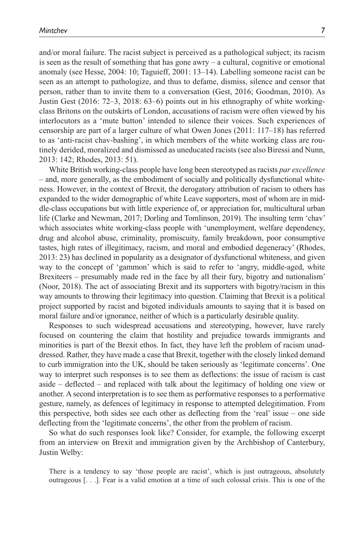and/or moral failure. The racist subject is perceived as a pathological subject; its racism is seen as the result of something that has gone awry – a cultural, cognitive or emotional anomaly (see Hesse, 2004: 10; Taguieff, 2001: 13–14). Labelling someone racist can be seen as an attempt to pathologize, and thus to defame, dismiss, silence and censor that person, rather than to invite them to a conversation (Gest, 2016; Goodman, 2010). As Justin Gest (2016: 72–3, 2018: 63–6) points out in his ethnography of white workingclass Britons on the outskirts of London, accusations of racism were often viewed by his interlocutors as a 'mute button' intended to silence their voices. Such experiences of censorship are part of a larger culture of what Owen Jones (2011: 117–18) has referred to as 'anti-racist chav-bashing', in which members of the white working class are routinely derided, moralized and dismissed as uneducated racists (see also Biressi and Nunn, 2013: 142; Rhodes, 2013: 51).

White British working-class people have long been stereotyped as racists *par excellence* – and, more generally, as the embodiment of socially and politically dysfunctional whiteness. However, in the context of Brexit, the derogatory attribution of racism to others has expanded to the wider demographic of white Leave supporters, most of whom are in middle-class occupations but with little experience of, or appreciation for, multicultural urban life (Clarke and Newman, 2017; Dorling and Tomlinson, 2019). The insulting term 'chav' which associates white working-class people with 'unemployment, welfare dependency, drug and alcohol abuse, criminality, promiscuity, family breakdown, poor consumptive tastes, high rates of illegitimacy, racism, and moral and embodied degeneracy' (Rhodes, 2013: 23) has declined in popularity as a designator of dysfunctional whiteness, and given way to the concept of 'gammon' which is said to refer to 'angry, middle-aged, white Brexiteers – presumably made red in the face by all their fury, bigotry and nationalism' (Noor, 2018). The act of associating Brexit and its supporters with bigotry/racism in this way amounts to throwing their legitimacy into question. Claiming that Brexit is a political project supported by racist and bigoted individuals amounts to saying that it is based on moral failure and/or ignorance, neither of which is a particularly desirable quality.

Responses to such widespread accusations and stereotyping, however, have rarely focused on countering the claim that hostility and prejudice towards immigrants and minorities is part of the Brexit ethos. In fact, they have left the problem of racism unaddressed. Rather, they have made a case that Brexit, together with the closely linked demand to curb immigration into the UK, should be taken seriously as 'legitimate concerns'. One way to interpret such responses is to see them as deflections: the issue of racism is cast aside – deflected – and replaced with talk about the legitimacy of holding one view or another. A second interpretation is to see them as performative responses to a performative gesture, namely, as defences of legitimacy in response to attempted delegitimation. From this perspective, both sides see each other as deflecting from the 'real' issue – one side deflecting from the 'legitimate concerns', the other from the problem of racism.

So what do such responses look like? Consider, for example, the following excerpt from an interview on Brexit and immigration given by the Archbishop of Canterbury, Justin Welby:

There is a tendency to say 'those people are racist', which is just outrageous, absolutely outrageous [. . .]. Fear is a valid emotion at a time of such colossal crisis. This is one of the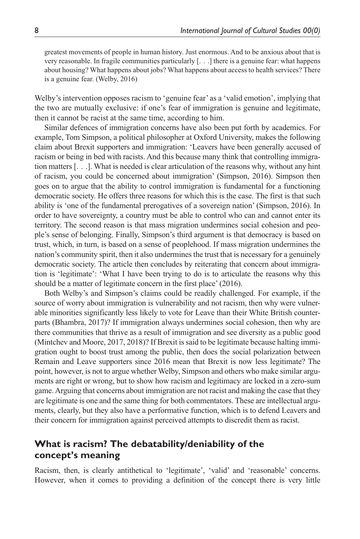greatest movements of people in human history. Just enormous. And to be anxious about that is very reasonable. In fragile communities particularly [. . .] there is a genuine fear: what happens about housing? What happens about jobs? What happens about access to health services? There is a genuine fear. (Welby, 2016)

Welby's intervention opposes racism to 'genuine fear' as a 'valid emotion', implying that the two are mutually exclusive: if one's fear of immigration is genuine and legitimate, then it cannot be racist at the same time, according to him.

Similar defences of immigration concerns have also been put forth by academics. For example, Tom Simpson, a political philosopher at Oxford University, makes the following claim about Brexit supporters and immigration: 'Leavers have been generally accused of racism or being in bed with racists. And this because many think that controlling immigration matters [. . .]. What is needed is clear articulation of the reasons why, without any hint of racism, you could be concerned about immigration' (Simpson, 2016). Simpson then goes on to argue that the ability to control immigration is fundamental for a functioning democratic society. He offers three reasons for which this is the case. The first is that such ability is 'one of the fundamental prerogatives of a sovereign nation' (Simpson, 2016). In order to have sovereignty, a country must be able to control who can and cannot enter its territory. The second reason is that mass migration undermines social cohesion and people's sense of belonging. Finally, Simpson's third argument is that democracy is based on trust, which, in turn, is based on a sense of peoplehood. If mass migration undermines the nation's community spirit, then it also undermines the trust that is necessary for a genuinely democratic society. The article then concludes by reiterating that concern about immigration is 'legitimate': 'What I have been trying to do is to articulate the reasons why this should be a matter of legitimate concern in the first place' (2016).

Both Welby's and Simpson's claims could be readily challenged. For example, if the source of worry about immigration is vulnerability and not racism, then why were vulnerable minorities significantly less likely to vote for Leave than their White British counterparts (Bhambra, 2017)? If immigration always undermines social cohesion, then why are there communities that thrive as a result of immigration and see diversity as a public good (Mintchev and Moore, 2017, 2018)? If Brexit is said to be legitimate because halting immigration ought to boost trust among the public, then does the social polarization between Remain and Leave supporters since 2016 mean that Brexit is now less legitimate? The point, however, is not to argue whether Welby, Simpson and others who make similar arguments are right or wrong, but to show how racism and legitimacy are locked in a zero-sum game. Arguing that concerns about immigration are not racist and making the case that they are legitimate is one and the same thing for both commentators. These are intellectual arguments, clearly, but they also have a performative function, which is to defend Leavers and their concern for immigration against perceived attempts to discredit them as racist.

# **What is racism? The debatability/deniability of the concept's meaning**

Racism, then, is clearly antithetical to 'legitimate', 'valid' and 'reasonable' concerns. However, when it comes to providing a definition of the concept there is very little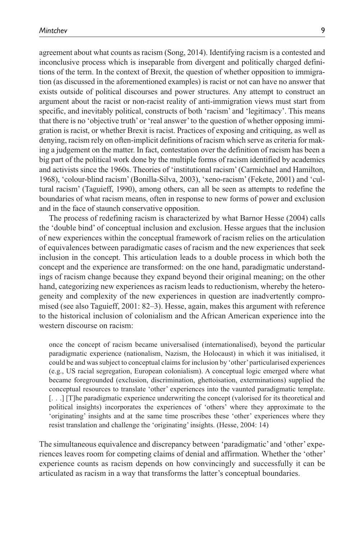agreement about what counts as racism (Song, 2014). Identifying racism is a contested and inconclusive process which is inseparable from divergent and politically charged definitions of the term. In the context of Brexit, the question of whether opposition to immigration (as discussed in the aforementioned examples) is racist or not can have no answer that exists outside of political discourses and power structures. Any attempt to construct an argument about the racist or non-racist reality of anti-immigration views must start from specific, and inevitably political, constructs of both 'racism' and 'legitimacy'. This means that there is no 'objective truth' or 'real answer' to the question of whether opposing immigration is racist, or whether Brexit is racist. Practices of exposing and critiquing, as well as denying, racism rely on often-implicit definitions of racism which serve as criteria for making a judgement on the matter. In fact, contestation over the definition of racism has been a big part of the political work done by the multiple forms of racism identified by academics and activists since the 1960s. Theories of 'institutional racism' (Carmichael and Hamilton, 1968), 'colour-blind racism' (Bonilla-Silva, 2003), 'xeno-racism' (Fekete, 2001) and 'cultural racism' (Taguieff, 1990), among others, can all be seen as attempts to redefine the boundaries of what racism means, often in response to new forms of power and exclusion and in the face of staunch conservative opposition.

The process of redefining racism is characterized by what Barnor Hesse (2004) calls the 'double bind' of conceptual inclusion and exclusion. Hesse argues that the inclusion of new experiences within the conceptual framework of racism relies on the articulation of equivalences between paradigmatic cases of racism and the new experiences that seek inclusion in the concept. This articulation leads to a double process in which both the concept and the experience are transformed: on the one hand, paradigmatic understandings of racism change because they expand beyond their original meaning; on the other hand, categorizing new experiences as racism leads to reductionism, whereby the heterogeneity and complexity of the new experiences in question are inadvertently compromised (see also Taguieff, 2001: 82–3). Hesse, again, makes this argument with reference to the historical inclusion of colonialism and the African American experience into the western discourse on racism:

once the concept of racism became universalised (internationalised), beyond the particular paradigmatic experience (nationalism, Nazism, the Holocaust) in which it was initialised, it could be and was subject to conceptual claims for inclusion by 'other' particularised experiences (e.g., US racial segregation, European colonialism). A conceptual logic emerged where what became foregrounded (exclusion, discrimination, ghettoisation, exterminations) supplied the conceptual resources to translate 'other' experiences into the vaunted paradigmatic template. [. . .] [T]he paradigmatic experience underwriting the concept (valorised for its theoretical and political insights) incorporates the experiences of 'others' where they approximate to the 'originating' insights and at the same time proscribes these 'other' experiences where they resist translation and challenge the 'originating' insights. (Hesse, 2004: 14)

The simultaneous equivalence and discrepancy between 'paradigmatic' and 'other' experiences leaves room for competing claims of denial and affirmation. Whether the 'other' experience counts as racism depends on how convincingly and successfully it can be articulated as racism in a way that transforms the latter's conceptual boundaries.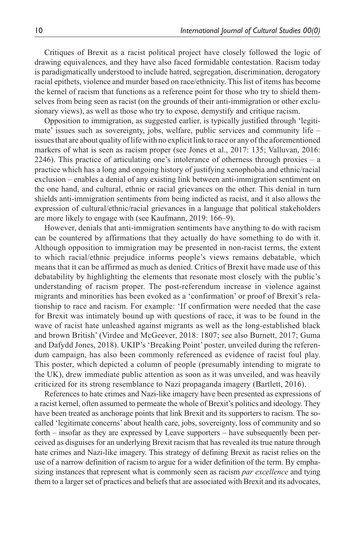Critiques of Brexit as a racist political project have closely followed the logic of drawing equivalences, and they have also faced formidable contestation. Racism today is paradigmatically understood to include hatred, segregation, discrimination, derogatory racial epithets, violence and murder based on race/ethnicity. This list of items has become the kernel of racism that functions as a reference point for those who try to shield themselves from being seen as racist (on the grounds of their anti-immigration or other exclusionary views), as well as those who try to expose, demystify and critique racism.

Opposition to immigration, as suggested earlier, is typically justified through 'legitimate' issues such as sovereignty, jobs, welfare, public services and community life – issues that are about quality of life with no explicit link to race or any of the aforementioned markers of what is seen as racism proper (see Jones et al., 2017: 135; Valluvan, 2016: 2246). This practice of articulating one's intolerance of otherness through proxies – a practice which has a long and ongoing history of justifying xenophobia and ethnic/racial exclusion – enables a denial of any existing link between anti-immigration sentiment on the one hand, and cultural, ethnic or racial grievances on the other. This denial in turn shields anti-immigration sentiments from being indicted as racist, and it also allows the expression of cultural/ethnic/racial grievances in a language that political stakeholders are more likely to engage with (see Kaufmann, 2019: 166–9).

However, denials that anti-immigration sentiments have anything to do with racism can be countered by affirmations that they actually do have something to do with it. Although opposition to immigration may be presented in non-racist terms, the extent to which racial/ethnic prejudice informs people's views remains debatable, which means that it can be affirmed as much as denied. Critics of Brexit have made use of this debatability by highlighting the elements that resonate most closely with the public's understanding of racism proper. The post-referendum increase in violence against migrants and minorities has been evoked as a 'confirmation' or proof of Brexit's relationship to race and racism. For example: 'If confirmation were needed that the case for Brexit was intimately bound up with questions of race, it was to be found in the wave of racist hate unleashed against migrants as well as the long-established black and brown British' (Virdee and McGeever, 2018: 1807; see also Burnett, 2017; Guma and Dafydd Jones, 2018). UKIP's 'Breaking Point' poster, unveiled during the referendum campaign, has also been commonly referenced as evidence of racist foul play. This poster, which depicted a column of people (presumably intending to migrate to the UK), drew immediate public attention as soon as it was unveiled, and was heavily criticized for its strong resemblance to Nazi propaganda imagery (Bartlett, 2016).

References to hate crimes and Nazi-like imagery have been presented as expressions of a racist kernel, often assumed to permeate the whole of Brexit's politics and ideology. They have been treated as anchorage points that link Brexit and its supporters to racism. The socalled 'legitimate concerns' about health care, jobs, sovereignty, loss of community and so forth – insofar as they are expressed by Leave supporters – have subsequently been perceived as disguises for an underlying Brexit racism that has revealed its true nature through hate crimes and Nazi-like imagery. This strategy of defining Brexit as racist relies on the use of a narrow definition of racism to argue for a wider definition of the term. By emphasizing instances that represent what is commonly seen as racism *par excellence* and tying them to a larger set of practices and beliefs that are associated with Brexit and its advocates,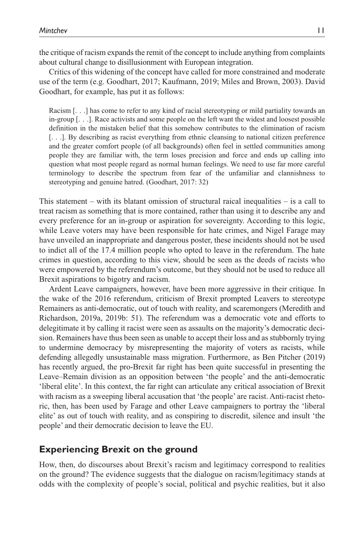the critique of racism expands the remit of the concept to include anything from complaints about cultural change to disillusionment with European integration.

Critics of this widening of the concept have called for more constrained and moderate use of the term (e.g. Goodhart, 2017; Kaufmann, 2019; Miles and Brown, 2003). David Goodhart, for example, has put it as follows:

Racism [. . .] has come to refer to any kind of racial stereotyping or mild partiality towards an in-group [. . .]. Race activists and some people on the left want the widest and loosest possible definition in the mistaken belief that this somehow contributes to the elimination of racism [. . .]. By describing as racist everything from ethnic cleansing to national citizen preference and the greater comfort people (of all backgrounds) often feel in settled communities among people they are familiar with, the term loses precision and force and ends up calling into question what most people regard as normal human feelings. We need to use far more careful terminology to describe the spectrum from fear of the unfamiliar and clannishness to stereotyping and genuine hatred. (Goodhart, 2017: 32)

This statement – with its blatant omission of structural raical inequalities – is a call to treat racism as something that is more contained, rather than using it to describe any and every preference for an in-group or aspiration for sovereignty. According to this logic, while Leave voters may have been responsible for hate crimes, and Nigel Farage may have unveiled an inappropriate and dangerous poster, these incidents should not be used to indict all of the 17.4 million people who opted to leave in the referendum. The hate crimes in question, according to this view, should be seen as the deeds of racists who were empowered by the referendum's outcome, but they should not be used to reduce all Brexit aspirations to bigotry and racism.

Ardent Leave campaigners, however, have been more aggressive in their critique. In the wake of the 2016 referendum, criticism of Brexit prompted Leavers to stereotype Remainers as anti-democratic, out of touch with reality, and scaremongers (Meredith and Richardson, 2019a, 2019b: 51). The referendum was a democratic vote and efforts to delegitimate it by calling it racist were seen as assaults on the majority's democratic decision. Remainers have thus been seen as unable to accept their loss and as stubbornly trying to undermine democracy by misrepresenting the majority of voters as racists, while defending allegedly unsustainable mass migration. Furthermore, as Ben Pitcher (2019) has recently argued, the pro-Brexit far right has been quite successful in presenting the Leave–Remain division as an opposition between 'the people' and the anti-democratic 'liberal elite'. In this context, the far right can articulate any critical association of Brexit with racism as a sweeping liberal accusation that 'the people' are racist. Anti-racist rhetoric, then, has been used by Farage and other Leave campaigners to portray the 'liberal elite' as out of touch with reality, and as conspiring to discredit, silence and insult 'the people' and their democratic decision to leave the EU.

### **Experiencing Brexit on the ground**

How, then, do discourses about Brexit's racism and legitimacy correspond to realities on the ground? The evidence suggests that the dialogue on racism/legitimacy stands at odds with the complexity of people's social, political and psychic realities, but it also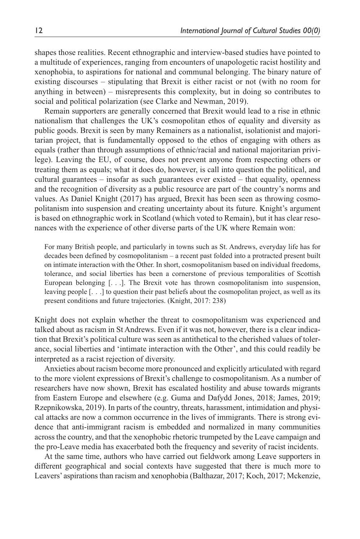shapes those realities. Recent ethnographic and interview-based studies have pointed to a multitude of experiences, ranging from encounters of unapologetic racist hostility and xenophobia, to aspirations for national and communal belonging. The binary nature of existing discourses – stipulating that Brexit is either racist or not (with no room for anything in between) – misrepresents this complexity, but in doing so contributes to social and political polarization (see Clarke and Newman, 2019).

Remain supporters are generally concerned that Brexit would lead to a rise in ethnic nationalism that challenges the UK's cosmopolitan ethos of equality and diversity as public goods. Brexit is seen by many Remainers as a nationalist, isolationist and majoritarian project, that is fundamentally opposed to the ethos of engaging with others as equals (rather than through assumptions of ethnic/racial and national majoritarian privilege). Leaving the EU, of course, does not prevent anyone from respecting others or treating them as equals; what it does do, however, is call into question the political, and cultural guarantees – insofar as such guarantees ever existed – that equality, openness and the recognition of diversity as a public resource are part of the country's norms and values. As Daniel Knight (2017) has argued, Brexit has been seen as throwing cosmopolitanism into suspension and creating uncertainty about its future. Knight's argument is based on ethnographic work in Scotland (which voted to Remain), but it has clear resonances with the experience of other diverse parts of the UK where Remain won:

For many British people, and particularly in towns such as St. Andrews, everyday life has for decades been defined by cosmopolitanism – a recent past folded into a protracted present built on intimate interaction with the Other. In short, cosmopolitanism based on individual freedoms, tolerance, and social liberties has been a cornerstone of previous temporalities of Scottish European belonging [. . .]. The Brexit vote has thrown cosmopolitanism into suspension, leaving people [. . .] to question their past beliefs about the cosmopolitan project, as well as its present conditions and future trajectories. (Knight, 2017: 238)

Knight does not explain whether the threat to cosmopolitanism was experienced and talked about as racism in St Andrews. Even if it was not, however, there is a clear indication that Brexit's political culture was seen as antithetical to the cherished values of tolerance, social liberties and 'intimate interaction with the Other', and this could readily be interpreted as a racist rejection of diversity.

Anxieties about racism become more pronounced and explicitly articulated with regard to the more violent expressions of Brexit's challenge to cosmopolitanism. As a number of researchers have now shown, Brexit has escalated hostility and abuse towards migrants from Eastern Europe and elsewhere (e.g. Guma and Dafydd Jones, 2018; James, 2019; Rzepnikowska, 2019). In parts of the country, threats, harassment, intimidation and physical attacks are now a common occurrence in the lives of immigrants. There is strong evidence that anti-immigrant racism is embedded and normalized in many communities across the country, and that the xenophobic rhetoric trumpeted by the Leave campaign and the pro-Leave media has exacerbated both the frequency and severity of racist incidents.

At the same time, authors who have carried out fieldwork among Leave supporters in different geographical and social contexts have suggested that there is much more to Leavers' aspirations than racism and xenophobia (Balthazar, 2017; Koch, 2017; Mckenzie,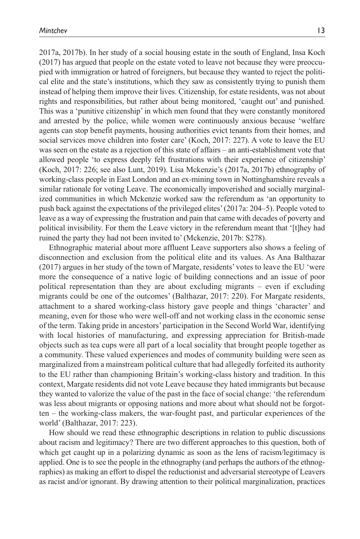2017a, 2017b). In her study of a social housing estate in the south of England, Insa Koch (2017) has argued that people on the estate voted to leave not because they were preoccupied with immigration or hatred of foreigners, but because they wanted to reject the political elite and the state's institutions, which they saw as consistently trying to punish them instead of helping them improve their lives. Citizenship, for estate residents, was not about rights and responsibilities, but rather about being monitored, 'caught out' and punished. This was a 'punitive citizenship' in which men found that they were constantly monitored and arrested by the police, while women were continuously anxious because 'welfare agents can stop benefit payments, housing authorities evict tenants from their homes, and social services move children into foster care' (Koch, 2017: 227). A vote to leave the EU was seen on the estate as a rejection of this state of affairs – an anti-establishment vote that allowed people 'to express deeply felt frustrations with their experience of citizenship' (Koch, 2017: 226; see also Lunt, 2019). Lisa Mckenzie's (2017a, 2017b) ethnography of working-class people in East London and an ex-mining town in Nottinghamshire reveals a similar rationale for voting Leave. The economically impoverished and socially marginalized communities in which Mckenzie worked saw the referendum as 'an opportunity to push back against the expectations of the privileged elites' (2017a: 204–5). People voted to leave as a way of expressing the frustration and pain that came with decades of poverty and political invisibility. For them the Leave victory in the referendum meant that '[t]hey had ruined the party they had not been invited to' (Mckenzie, 2017b: S278).

Ethnographic material about more affluent Leave supporters also shows a feeling of disconnection and exclusion from the political elite and its values. As Ana Balthazar (2017) argues in her study of the town of Margate, residents' votes to leave the EU 'were more the consequence of a native logic of building connections and an issue of poor political representation than they are about excluding migrants – even if excluding migrants could be one of the outcomes' (Balthazar, 2017: 220). For Margate residents, attachment to a shared working-class history gave people and things 'character' and meaning, even for those who were well-off and not working class in the economic sense of the term. Taking pride in ancestors' participation in the Second World War, identifying with local histories of manufacturing, and expressing appreciation for British-made objects such as tea cups were all part of a local sociality that brought people together as a community. These valued experiences and modes of community building were seen as marginalized from a mainstream political culture that had allegedly forfeited its authority to the EU rather than championing Britain's working-class history and tradition. In this context, Margate residents did not vote Leave because they hated immigrants but because they wanted to valorize the value of the past in the face of social change: 'the referendum was less about migrants or opposing nations and more about what should not be forgotten – the working-class makers, the war-fought past, and particular experiences of the world' (Balthazar, 2017: 223).

How should we read these ethnographic descriptions in relation to public discussions about racism and legitimacy? There are two different approaches to this question, both of which get caught up in a polarizing dynamic as soon as the lens of racism/legitimacy is applied. One is to see the people in the ethnography (and perhaps the authors of the ethnographies) as making an effort to dispel the reductionist and adversarial stereotype of Leavers as racist and/or ignorant. By drawing attention to their political marginalization, practices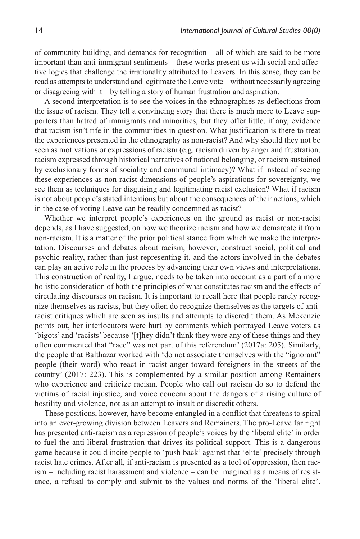of community building, and demands for recognition – all of which are said to be more important than anti-immigrant sentiments – these works present us with social and affective logics that challenge the irrationality attributed to Leavers. In this sense, they can be read as attempts to understand and legitimate the Leave vote – without necessarily agreeing or disagreeing with it – by telling a story of human frustration and aspiration.

A second interpretation is to see the voices in the ethnographies as deflections from the issue of racism. They tell a convincing story that there is much more to Leave supporters than hatred of immigrants and minorities, but they offer little, if any, evidence that racism isn't rife in the communities in question. What justification is there to treat the experiences presented in the ethnography as non-racist? And why should they not be seen as motivations or expressions of racism (e.g. racism driven by anger and frustration, racism expressed through historical narratives of national belonging, or racism sustained by exclusionary forms of sociality and communal intimacy)? What if instead of seeing these experiences as non-racist dimensions of people's aspirations for sovereignty, we see them as techniques for disguising and legitimating racist exclusion? What if racism is not about people's stated intentions but about the consequences of their actions, which in the case of voting Leave can be readily condemned as racist?

Whether we interpret people's experiences on the ground as racist or non-racist depends, as I have suggested, on how we theorize racism and how we demarcate it from non-racism. It is a matter of the prior political stance from which we make the interpretation. Discourses and debates about racism, however, construct social, political and psychic reality, rather than just representing it, and the actors involved in the debates can play an active role in the process by advancing their own views and interpretations. This construction of reality, I argue, needs to be taken into account as a part of a more holistic consideration of both the principles of what constitutes racism and the effects of circulating discourses on racism. It is important to recall here that people rarely recognize themselves as racists, but they often do recognize themselves as the targets of antiracist critiques which are seen as insults and attempts to discredit them. As Mckenzie points out, her interlocutors were hurt by comments which portrayed Leave voters as 'bigots' and 'racists' because '[t]hey didn't think they were any of these things and they often commented that "race" was not part of this referendum' (2017a: 205). Similarly, the people that Balthazar worked with 'do not associate themselves with the "ignorant" people (their word) who react in racist anger toward foreigners in the streets of the country' (2017: 223). This is complemented by a similar position among Remainers who experience and criticize racism. People who call out racism do so to defend the victims of racial injustice, and voice concern about the dangers of a rising culture of hostility and violence, not as an attempt to insult or discredit others.

These positions, however, have become entangled in a conflict that threatens to spiral into an ever-growing division between Leavers and Remainers. The pro-Leave far right has presented anti-racism as a repression of people's voices by the 'liberal elite' in order to fuel the anti-liberal frustration that drives its political support. This is a dangerous game because it could incite people to 'push back' against that 'elite' precisely through racist hate crimes. After all, if anti-racism is presented as a tool of oppression, then racism – including racist harassment and violence – can be imagined as a means of resistance, a refusal to comply and submit to the values and norms of the 'liberal elite'.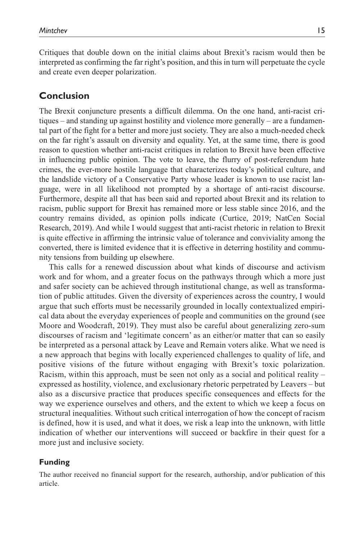Critiques that double down on the initial claims about Brexit's racism would then be interpreted as confirming the far right's position, and this in turn will perpetuate the cycle and create even deeper polarization.

# **Conclusion**

The Brexit conjuncture presents a difficult dilemma. On the one hand, anti-racist critiques – and standing up against hostility and violence more generally – are a fundamental part of the fight for a better and more just society. They are also a much-needed check on the far right's assault on diversity and equality. Yet, at the same time, there is good reason to question whether anti-racist critiques in relation to Brexit have been effective in influencing public opinion. The vote to leave, the flurry of post-referendum hate crimes, the ever-more hostile language that characterizes today's political culture, and the landslide victory of a Conservative Party whose leader is known to use racist language, were in all likelihood not prompted by a shortage of anti-racist discourse. Furthermore, despite all that has been said and reported about Brexit and its relation to racism, public support for Brexit has remained more or less stable since 2016, and the country remains divided, as opinion polls indicate (Curtice, 2019; NatCen Social Research, 2019). And while I would suggest that anti-racist rhetoric in relation to Brexit is quite effective in affirming the intrinsic value of tolerance and conviviality among the converted, there is limited evidence that it is effective in deterring hostility and community tensions from building up elsewhere.

This calls for a renewed discussion about what kinds of discourse and activism work and for whom, and a greater focus on the pathways through which a more just and safer society can be achieved through institutional change, as well as transformation of public attitudes. Given the diversity of experiences across the country, I would argue that such efforts must be necessarily grounded in locally contextualized empirical data about the everyday experiences of people and communities on the ground (see Moore and Woodcraft, 2019). They must also be careful about generalizing zero-sum discourses of racism and 'legitimate concern' as an either/or matter that can so easily be interpreted as a personal attack by Leave and Remain voters alike. What we need is a new approach that begins with locally experienced challenges to quality of life, and positive visions of the future without engaging with Brexit's toxic polarization. Racism, within this approach, must be seen not only as a social and political reality – expressed as hostility, violence, and exclusionary rhetoric perpetrated by Leavers – but also as a discursive practice that produces specific consequences and effects for the way we experience ourselves and others, and the extent to which we keep a focus on structural inequalities. Without such critical interrogation of how the concept of racism is defined, how it is used, and what it does, we risk a leap into the unknown, with little indication of whether our interventions will succeed or backfire in their quest for a more just and inclusive society.

### **Funding**

The author received no financial support for the research, authorship, and/or publication of this article.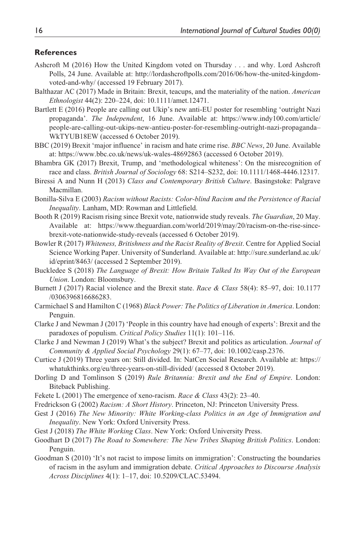#### **References**

- Ashcroft M (2016) How the United Kingdom voted on Thursday . . . and why. Lord Ashcroft Polls, 24 June. Available at: [http://lordashcroftpolls.com/2016/06/how-the-united-kingdom](http://lordashcroftpolls.com/2016/06/how-the-united-kingdom-voted-and-why/)[voted-and-why/](http://lordashcroftpolls.com/2016/06/how-the-united-kingdom-voted-and-why/) (accessed 19 February 2017).
- Balthazar AC (2017) Made in Britain: Brexit, teacups, and the materiality of the nation. *American Ethnologist* 44(2): 220–224, doi: 10.1111/amet.12471.
- Bartlett E (2016) People are calling out Ukip's new anti-EU poster for resembling 'outright Nazi propaganda'. *The Independent*, 16 June. Available at: [https://www.indy100.com/article/](https://www.indy100.com/article/people-are-calling-out-ukips-new-antieu-poster-for-resembling-outright-nazi-propaganda) [people-are-calling-out-ukips-new-antieu-poster-for-resembling-outright-nazi-propaganda–](https://www.indy100.com/article/people-are-calling-out-ukips-new-antieu-poster-for-resembling-outright-nazi-propaganda) WkTYUB18EW (accessed 6 October 2019).
- BBC (2019) Brexit 'major influence' in racism and hate crime rise. *BBC News*, 20 June. Available at: <https://www.bbc.co.uk/news/uk-wales-48692863>(accessed 6 October 2019).
- Bhambra GK (2017) Brexit, Trump, and 'methodological whiteness': On the misrecognition of race and class. *British Journal of Sociology* 68: S214–S232, doi: 10.1111/1468-4446.12317.
- Biressi A and Nunn H (2013) *Class and Contemporary British Culture*. Basingstoke: Palgrave Macmillan.
- Bonilla-Silva E (2003) *Racism without Racists: Color-blind Racism and the Persistence of Racial Inequality*. Lanham, MD: Rowman and Littlefield.
- Booth R (2019) Racism rising since Brexit vote, nationwide study reveals. *The Guardian*, 20 May. Available at: [https://www.theguardian.com/world/2019/may/20/racism-on-the-rise-since](https://www.theguardian.com/world/2019/may/20/racism-on-the-rise-since-brexit-vote-nationwide-study-reveals)[brexit-vote-nationwide-study-reveals](https://www.theguardian.com/world/2019/may/20/racism-on-the-rise-since-brexit-vote-nationwide-study-reveals) (accessed 6 October 2019).
- Bowler R (2017) *Whiteness, Britishness and the Racist Reality of Brexit*. Centre for Applied Social Science Working Paper. University of Sunderland. Available at: [http://sure.sunderland.ac.uk/](http://sure.sunderland.ac.uk/id/eprint/8463/) [id/eprint/8463/](http://sure.sunderland.ac.uk/id/eprint/8463/) (accessed 2 September 2019).
- Buckledee S (2018) *The Language of Brexit: How Britain Talked Its Way Out of the European Union*. London: Bloomsbury.
- Burnett J (2017) Racial violence and the Brexit state. *Race & Class* 58(4): 85–97, doi: 10.1177 /0306396816686283.
- Carmichael S and Hamilton C (1968) *Black Power: The Politics of Liberation in America*. London: Penguin.
- Clarke J and Newman J (2017) 'People in this country have had enough of experts': Brexit and the paradoxes of populism. *Critical Policy Studies* 11(1): 101–116.
- Clarke J and Newman J (2019) What's the subject? Brexit and politics as articulation. *Journal of Community & Applied Social Psychology* 29(1): 67–77, doi: 10.1002/casp.2376.
- Curtice J (2019) Three years on: Still divided. In: NatCen Social Research. Available at: [https://](https://whatukthinks.org/eu/three-years-on-still-divided/) [whatukthinks.org/eu/three-years-on-still-divided/](https://whatukthinks.org/eu/three-years-on-still-divided/) (accessed 8 October 2019).
- Dorling D and Tomlinson S (2019) *Rule Britannia: Brexit and the End of Empire*. London: Biteback Publishing.
- Fekete L (2001) The emergence of xeno-racism. *Race & Class* 43(2): 23–40.
- Fredrickson G (2002) *Racism: A Short History*. Princeton, NJ: Princeton University Press.
- Gest J (2016) *The New Minority: White Working-class Politics in an Age of Immigration and Inequality*. New York: Oxford University Press.
- Gest J (2018) *The White Working Class*. New York: Oxford University Press.
- Goodhart D (2017) *The Road to Somewhere: The New Tribes Shaping British Politics*. London: Penguin.
- Goodman S (2010) 'It's not racist to impose limits on immigration': Constructing the boundaries of racism in the asylum and immigration debate. *Critical Approaches to Discourse Analysis Across Disciplines* 4(1): 1–17, doi: 10.5209/CLAC.53494.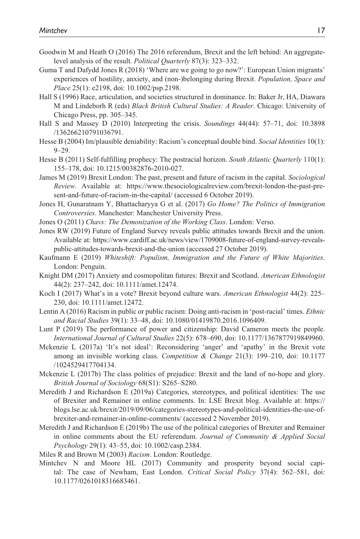- Goodwin M and Heath O (2016) The 2016 referendum, Brexit and the left behind: An aggregatelevel analysis of the result. *Political Quarterly* 87(3): 323–332.
- Guma T and Dafydd Jones R (2018) 'Where are we going to go now?': European Union migrants' experiences of hostility, anxiety, and (non-)belonging during Brexit. *Population, Space and Place* 25(1): e2198, doi: 10.1002/psp.2198.
- Hall S (1996) Race, articulation, and societies structured in dominance. In: Baker Jr, HA, Diawara M and Lindeborh R (eds) *Black British Cultural Studies: A Reader*. Chicago: University of Chicago Press, pp. 305–345.
- Hall S and Massey D (2010) Interpreting the crisis. *Soundings* 44(44): 57–71, doi: 10.3898 /136266210791036791.
- Hesse B (2004) Im/plausible deniability: Racism's conceptual double bind. *Social Identities* 10(1): 9–29.
- Hesse B (2011) Self-fulfilling prophecy: The postracial horizon. *South Atlantic Quarterly* 110(1): 155–178, doi: 10.1215/00382876-2010-027.
- James M (2019) Brexit London: The past, present and future of racism in the capital. *Sociological Review*. Available at: [https://www.thesociologicalreview.com/brexit-london-the-past-pre](https://www.thesociologicalreview.com/brexit-london-the-past-present-and-future-of-racism-in-the-capital/)[sent-and-future-of-racism-in-the-capital/](https://www.thesociologicalreview.com/brexit-london-the-past-present-and-future-of-racism-in-the-capital/) (accessed 6 October 2019).
- Jones H, Gunaratnam Y, Bhattacharyya G et al. (2017) *Go Home? The Politics of Immigration Controversies*. Manchester: Manchester University Press.
- Jones O (2011) *Chavs: The Demonization of the Working Class*. London: Verso.
- Jones RW (2019) Future of England Survey reveals public attitudes towards Brexit and the union. Available at: [https://www.cardiff.ac.uk/news/view/1709008-future-of-england-survey-reveals](https://www.cardiff.ac.uk/news/view/1709008-future-of-england-survey-reveals-public-attitudes-towards-brexit-and-the-union)[public-attitudes-towards-brexit-and-the-union](https://www.cardiff.ac.uk/news/view/1709008-future-of-england-survey-reveals-public-attitudes-towards-brexit-and-the-union) (accessed 27 October 2019).
- Kaufmann E (2019) *Whiteshift: Populism, Immigration and the Future of White Majorities*. London: Penguin.
- Knight DM (2017) Anxiety and cosmopolitan futures: Brexit and Scotland. *American Ethnologist* 44(2): 237–242, doi: 10.1111/amet.12474.
- Koch I (2017) What's in a vote? Brexit beyond culture wars. *American Ethnologist* 44(2): 225– 230, doi: 10.1111/amet.12472.
- Lentin A (2016) Racism in public or public racism: Doing anti-racism in 'post-racial' times. *Ethnic and Racial Studies* 39(1): 33–48, doi: 10.1080/01419870.2016.1096409.
- Lunt P (2019) The performance of power and citizenship: David Cameron meets the people. *International Journal of Cultural Studies* 22(5): 678–690, doi: 10.1177/1367877919849960.
- Mckenzie L (2017a) 'It's not ideal': Reconsidering 'anger' and 'apathy' in the Brexit vote among an invisible working class. *Competition & Change* 21(3): 199–210, doi: 10.1177 /1024529417704134.
- Mckenzie L (2017b) The class politics of prejudice: Brexit and the land of no-hope and glory. *British Journal of Sociology* 68(S1): S265–S280.
- Meredith J and Richardson E (2019a) Categories, stereotypes, and political identities: The use of Brexiter and Remainer in online comments. In: LSE Brexit blog. Available at: [https://](https://blogs.lse.ac.uk/brexit/2019/09/06/categories-stereotypes-and-political-identities-the-use-of-brexiter-and-remainer-in-online-comments/) [blogs.lse.ac.uk/brexit/2019/09/06/categories-stereotypes-and-political-identities-the-use-of](https://blogs.lse.ac.uk/brexit/2019/09/06/categories-stereotypes-and-political-identities-the-use-of-brexiter-and-remainer-in-online-comments/)[brexiter-and-remainer-in-online-comments/](https://blogs.lse.ac.uk/brexit/2019/09/06/categories-stereotypes-and-political-identities-the-use-of-brexiter-and-remainer-in-online-comments/) (accessed 2 November 2019).
- Meredith J and Richardson E (2019b) The use of the political categories of Brexiter and Remainer in online comments about the EU referendum. *Journal of Community & Applied Social Psychology* 29(1): 43–55, doi: 10.1002/casp.2384.
- Miles R and Brown M (2003) *Racism*. London: Routledge.
- Mintchev N and Moore HL (2017) Community and prosperity beyond social capital: The case of Newham, East London. *Critical Social Policy* 37(4): 562–581, doi: 10.1177/0261018316683461.